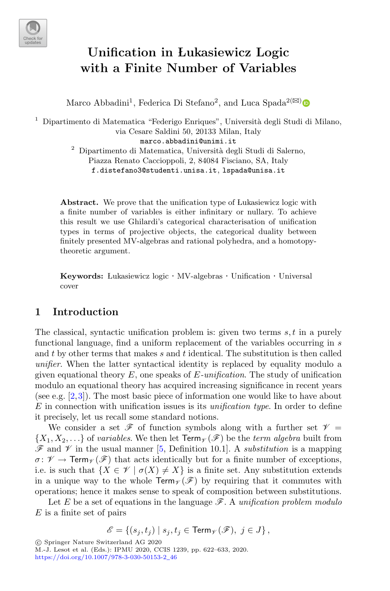

# $\text{Unification in Łukasiewicz Logic}$ **with a Finite Number of Variables**

Marco Abbadini<sup>1</sup>, Federica Di Stefano<sup>2</sup>, and Luca Spada<sup>2( $\boxtimes$ [\)](http://orcid.org/0000-0002-1139-387X)</sup>

 $1$  Dipartimento di Matematica "Federigo Enriques", Università degli Studi di Milano, via Cesare Saldini 50, 20133 Milan, Italy marco.abbadini@unimi.it  $^2$  Dipartimento di Matematica, Università degli Studi di Salerno, Piazza Renato Caccioppoli, 2, 84084 Fisciano, SA, Italy

f.distefano3@studenti.unisa.it, lspada@unisa.it

**Abstract.** We prove that the unification type of Lukasiewicz logic with a finite number of variables is either infinitary or nullary. To achieve this result we use Ghilardi's categorical characterisation of unification types in terms of projective objects, the categorical duality between finitely presented MV-algebras and rational polyhedra, and a homotopytheoretic argument.

**Keywords:** Lukasiewicz logic  $\cdot$  MV-algebras  $\cdot$  Unification  $\cdot$  Universal cover

## **1 Introduction**

The classical, syntactic unification problem is: given two terms  $s, t$  in a purely functional language, find a uniform replacement of the variables occurring in s and  $t$  by other terms that makes  $s$  and  $t$  identical. The substitution is then called *unifier*. When the latter syntactical identity is replaced by equality modulo a given equational theory E, one speaks of E*-unification*. The study of unification modulo an equational theory has acquired increasing significance in recent years (see e.g.  $[2,3]$  $[2,3]$  $[2,3]$ ). The most basic piece of information one would like to have about E in connection with unification issues is its *unification type*. In order to define it precisely, let us recall some standard notions.

We consider a set  $\mathscr F$  of function symbols along with a further set  $\mathscr V$  =  $\{X_1, X_2, \ldots\}$  of *variables*. We then let  $\mathsf{Term}_{\mathscr{V}}(\mathscr{F})$  be the *term algebra* built from  $\mathscr F$  and  $\mathscr V$  in the usual manner [\[5](#page-11-2), Definition 10.1]. A *substitution* is a mapping  $\sigma: \mathscr{V} \to \text{Term}_{\mathscr{V}}(\mathscr{F})$  that acts identically but for a finite number of exceptions, i.e. is such that  $\{X \in \mathscr{V} \mid \sigma(X) \neq X\}$  is a finite set. Any substitution extends in a unique way to the whole  $\text{Term}_{\mathscr{V}}(\mathscr{F})$  by requiring that it commutes with operations; hence it makes sense to speak of composition between substitutions.

Let  $E$  be a set of equations in the language  $\mathscr{F}$ . A *unification problem modulo*  $E$  is a finite set of pairs

$$
\mathscr{E} = \left\{ (s_j, t_j) \mid s_j, t_j \in \mathsf{Term}_{\mathscr{V}}(\mathscr{F}), \ j \in J \right\},\
$$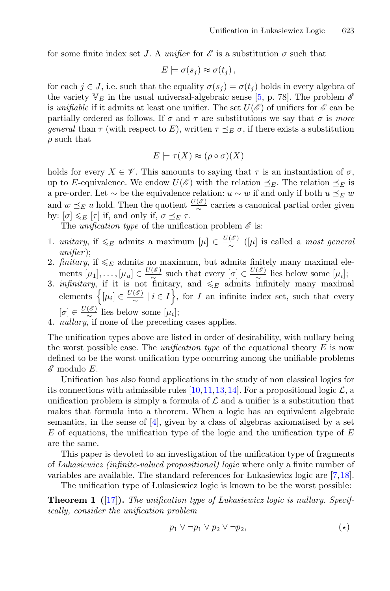for some finite index set J. A *unifier* for  $\mathscr E$  is a substitution  $\sigma$  such that

$$
E \models \sigma(s_j) \approx \sigma(t_j),
$$

for each  $j \in J$ , i.e. such that the equality  $\sigma(s_j) = \sigma(t_j)$  holds in every algebra of the variety  $V_E$  in the usual universal-algebraic sense [\[5](#page-11-2), p. 78]. The problem  $\mathscr E$ is *unifiable* if it admits at least one unifier. The set  $U(\mathscr{E})$  of unifiers for  $\mathscr{E}$  can be partially ordered as follows. If  $\sigma$  and  $\tau$  are substitutions we say that  $\sigma$  is *more general* than  $\tau$  (with respect to E), written  $\tau \preceq_E \sigma$ , if there exists a substitution  $\rho$  such that

$$
E \models \tau(X) \approx (\rho \circ \sigma)(X)
$$

holds for every  $X \in \mathscr{V}$ . This amounts to saying that  $\tau$  is an instantiation of  $\sigma$ , up to E-equivalence. We endow  $U(\mathscr{E})$  with the relation  $\preceq_E$ . The relation  $\preceq_E$  is a pre-order. Let  $\sim$  be the equivalence relation:  $u \sim w$  if and only if both  $u \preceq_E w$ and  $w \preceq_E u$  hold. Then the quotient  $\frac{U(\mathscr{E})}{\sim}$  carries a canonical partial order given by:  $[\sigma] \leqslant_E [\tau]$  if, and only if,  $\sigma \preceq_E \tau$ .

The *unification type* of the unification problem  $\mathscr E$  is:

- 1. *unitary*, if  $\leq_E$  admits a maximum  $[\mu] \in \frac{U(\mathscr{E})}{\sim}$  ( $[\mu]$  is called a *most general unifier* );
- 2. *finitary*, if  $\leq_E$  admits no maximum, but admits finitely many maximal elements  $[\mu_1], \ldots, [\mu_u] \in \frac{U(\mathscr{E})}{\sim}$  such that every  $[\sigma] \in \frac{U(\mathscr{E})}{\sim}$  lies below some  $[\mu_i]$ ;<br>3. *infinitary*, if it is not finitary, and  $\leq_E$  admits infinitely many maximal
- elements  $\left\{ \left[ \mu_i \right] \in \frac{U(\mathscr{E})}{\sim} \mid i \in I \right\}$ , for *I* an infinite index set, such that every  $[\sigma] \in \frac{U(\mathscr{E})}{\sim}$  lies below some  $[\mu_i];$
- 4. *nullary*, if none of the preceding cases applies.

The unification types above are listed in order of desirability, with nullary being the worst possible case. The *unification type* of the equational theory E is now defined to be the worst unification type occurring among the unifiable problems  $\mathscr E$  modulo  $E$ .

Unification has also found applications in the study of non classical logics for its connections with admissible rules [\[10](#page-11-3), 11, 13, [14\]](#page-11-6). For a propositional logic  $\mathcal{L}$ , a unification problem is simply a formula of  $\mathcal L$  and a unifier is a substitution that makes that formula into a theorem. When a logic has an equivalent algebraic semantics, in the sense of [\[4](#page-11-7)], given by a class of algebras axiomatised by a set  $E$  of equations, the unification type of the logic and the unification type of  $E$ are the same.

This paper is devoted to an investigation of the unification type of fragments of *Lukasiewicz (infinite-valued propositional) logic* where only a finite number of variables are available. The standard references for Lukasiewicz logic are  $[7,18]$  $[7,18]$  $[7,18]$ .

The unification type of Lukasiewicz logic is known to be the worst possible:

**Theorem 1** ([\[17](#page-11-10)]). The unification type of Lukasiewicz logic is nullary. Specif*ically, consider the unification problem*

<span id="page-1-0"></span>
$$
p_1 \lor \neg p_1 \lor p_2 \lor \neg p_2,\tag{\star}
$$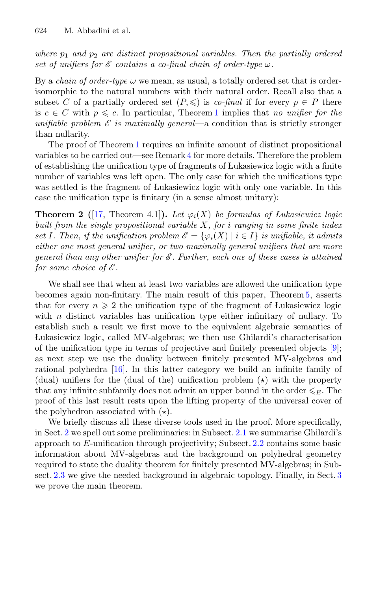*where*  $p_1$  *and*  $p_2$  *are distinct propositional variables. Then the partially ordered set of unifiers for*  $\mathscr E$  *contains a co-final chain of order-type*  $\omega$ *.* 

By a *chain of order-type*  $\omega$  we mean, as usual, a totally ordered set that is orderisomorphic to the natural numbers with their natural order. Recall also that a subset C of a partially ordered set  $(P, \leqslant)$  is *co-final* if for every  $p \in P$  there is  $c \in C$  with  $p \leq c$ . In particular, Theorem [1](#page-1-0) implies that *no unifier for the unifiable problem*  $\mathscr E$  *<i>is maximally general—a* condition that is strictly stronger than nullarity.

The proof of Theorem [1](#page-1-0) requires an infinite amount of distinct propositional variables to be carried out—see Remark [4](#page-9-0) for more details. Therefore the problem of establishing the unification type of fragments of Lukasiewicz logic with a finite number of variables was left open. The only case for which the unifications type was settled is the fragment of Lukasiewicz logic with only one variable. In this case the unification type is finitary (in a sense almost unitary):

**Theorem 2** ([\[17,](#page-11-10) Theorem 4.1]). Let  $\varphi_i(X)$  be formulas of Lukasiewicz logic *built from the single propositional variable* X*, for* i *ranging in some finite index set* I. Then, if the unification problem  $\mathscr{E} = {\varphi_i(X) | i \in I}$  is unifiable, it admits *either one most general unifier, or two maximally general unifiers that are more general than any other unifier for E . Further, each one of these cases is attained for some choice of*  $\mathscr E$ *.* 

We shall see that when at least two variables are allowed the unification type becomes again non-finitary. The main result of this paper, Theorem [5,](#page-10-0) asserts that for every  $n \geqslant 2$  the unification type of the fragment of Lukasiewicz logic with  $n$  distinct variables has unification type either infinitary of nullary. To establish such a result we first move to the equivalent algebraic semantics of Lukasiewicz logic, called MV-algebras; we then use Ghilardi's characterisation of the unification type in terms of projective and finitely presented objects  $[9]$ ; as next step we use the duality between finitely presented MV-algebras and rational polyhedra [\[16](#page-11-12)]. In this latter category we build an infinite family of (dual) unifiers for the (dual of the) unification problem  $(\star)$  with the property that any infinite subfamily does not admit an upper bound in the order  $\leq E$ . The proof of this last result rests upon the lifting property of the universal cover of the polyhedron associated with  $(\star)$ .

We briefly discuss all these diverse tools used in the proof. More specifically, in Sect. [2](#page-3-0) we spell out some preliminaries: in Subsect. [2.1](#page-3-1) we summarise Ghilardi's approach to E-unification through projectivity; Subsect. [2.2](#page-4-0) contains some basic information about MV-algebras and the background on polyhedral geometry required to state the duality theorem for finitely presented MV-algebras; in Subsect. [2.3](#page-6-0) we give the needed background in algebraic topology. Finally, in Sect. [3](#page-7-0) we prove the main theorem.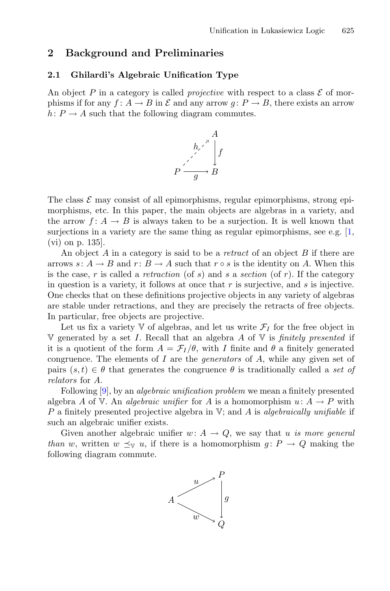### <span id="page-3-0"></span>**2 Background and Preliminaries**

#### <span id="page-3-1"></span>**2.1 Ghilardi's Algebraic Unification Type**

An object P in a category is called *projective* with respect to a class  $\mathcal E$  of morphisms if for any  $f: A \to B$  in  $\mathcal E$  and any arrow  $q: P \to B$ , there exists an arrow  $h: P \to A$  such that the following diagram commutes.



The class  $\mathcal E$  may consist of all epimorphisms, regular epimorphisms, strong epimorphisms, etc. In this paper, the main objects are algebras in a variety, and the arrow  $f: A \to B$  is always taken to be a surjection. It is well known that surjections in a variety are the same thing as regular epimorphisms, see e.g.  $[1,$ (vi) on p. 135].

An object A in a category is said to be a *retract* of an object B if there are arrows  $s: A \to B$  and  $r: B \to A$  such that  $r \circ s$  is the identity on A. When this is the case, r is called a *retraction* (of s) and s a section (of r). If the category in question is a variety, it follows at once that  $r$  is surjective, and  $s$  is injective. One checks that on these definitions projective objects in any variety of algebras are stable under retractions, and they are precisely the retracts of free objects. In particular, free objects are projective.

Let us fix a variety  $\nabla$  of algebras, and let us write  $\mathcal{F}_I$  for the free object in V generated by a set I. Recall that an algebra A of V is *finitely presented* if it is a quotient of the form  $A = \mathcal{F}_I/\theta$ , with I finite and  $\theta$  a finitely generated congruence. The elements of I are the *generators* of A, while any given set of pairs  $(s, t) \in \theta$  that generates the congruence  $\theta$  is traditionally called a *set of relators* for A.

Following [\[9\]](#page-11-11), by an *algebraic unification problem* we mean a finitely presented algebra A of V. An *algebraic unifier* for A is a homomorphism  $u: A \rightarrow P$  with P a finitely presented projective algebra in V; and A is *algebraically unifiable* if such an algebraic unifier exists.

Given another algebraic unifier  $w: A \rightarrow Q$ , we say that u is more general *than* w, written  $w \preceq_{\mathbb{V}} u$ , if there is a homomorphism  $g: P \to Q$  making the following diagram commute.

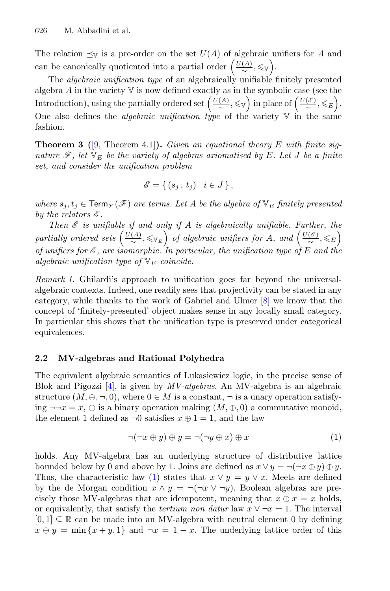The relation  $\preceq_{V}$  is a pre-order on the set  $U(A)$  of algebraic unifiers for A and can be canonically quotiented into a partial order  $\left(\frac{U(A)}{\sim}, \leqslant_{\mathbb{V}}\right)$ .

The *algebraic unification type* of an algebraically unifiable finitely presented algebra A in the variety  $V$  is now defined exactly as in the symbolic case (see the Introduction), using the partially ordered set  $\left(\frac{U(A)}{\sim}, \leqslant_{\mathbb{V}}\right)$  in place of  $\left(\frac{U(\mathscr{E})}{\sim}, \leqslant_{E}\right)$ . One also defines the *algebraic unification type* of the variety  $\nabla$  in the same fashion.

<span id="page-4-2"></span>**Theorem 3 (**[\[9,](#page-11-11) Theorem 4.1]**).** *Given an equational theory* E *with finite signature*  $\mathscr{F}$ *, let*  $V_E$  *be the variety of algebras axiomatised by* E. Let J *be a finite set, and consider the unification problem*

$$
\mathscr{E} = \{ (s_j, t_j) \mid i \in J \},\
$$

*where*  $s_j, t_j \in \text{Term}_{\mathcal{V}}(\mathcal{F})$  *are terms. Let* A *be the algebra of*  $\mathbb{V}_E$  *finitely presented by the relators*  $\mathscr E$ *.* 

*Then E is unifiable if and only if* A *is algebraically unifiable. Further, the*  $partially \ ordered \ sets \left(\frac{U(A)}{\sim}, \leqslant_{V_E}\right) \ of \ algebraic \ unifiers \ for \ A, \ and \left(\frac{U(\mathscr{E})}{\sim}, \leqslant_E\right)$ *of unifiers for E , are isomorphic. In particular, the unification type of* E *and the algebraic unification type of*  $\nabla$ *E coincide.* 

*Remark 1.* Ghilardi's approach to unification goes far beyond the universalalgebraic contexts. Indeed, one readily sees that projectivity can be stated in any category, while thanks to the work of Gabriel and Ulmer [\[8\]](#page-11-14) we know that the concept of 'finitely-presented' object makes sense in any locally small category. In particular this shows that the unification type is preserved under categorical equivalences.

#### <span id="page-4-0"></span>**2.2 MV-algebras and Rational Polyhedra**

The equivalent algebraic semantics of Lukasiewicz logic, in the precise sense of Blok and Pigozzi [\[4](#page-11-7)], is given by *MV-algebras*. An MV-algebra is an algebraic structure  $(M, \oplus, \neg, 0)$ , where  $0 \in M$  is a constant,  $\neg$  is a unary operation satisfying  $\neg\neg x = x$ ,  $\oplus$  is a binary operation making  $(M, \oplus, 0)$  a commutative monoid, the element 1 defined as  $\neg 0$  satisfies  $x \oplus 1 = 1$ , and the law

<span id="page-4-1"></span>
$$
\neg(\neg x \oplus y) \oplus y = \neg(\neg y \oplus x) \oplus x \tag{1}
$$

holds. Any MV-algebra has an underlying structure of distributive lattice bounded below by 0 and above by 1. Joins are defined as  $x \vee y = \neg(\neg x \oplus y) \oplus y$ . Thus, the characteristic law [\(1\)](#page-4-1) states that  $x \vee y = y \vee x$ . Meets are defined by the de Morgan condition  $x \wedge y = \neg(\neg x \vee \neg y)$ . Boolean algebras are precisely those MV-algebras that are idempotent, meaning that  $x \oplus x = x$  holds, or equivalently, that satisfy the *tertium non datur* law  $x \vee \neg x = 1$ . The interval  $[0, 1] \subseteq \mathbb{R}$  can be made into an MV-algebra with neutral element 0 by defining  $x \oplus y = \min\{x+y,1\}$  and  $\neg x = 1-x$ . The underlying lattice order of this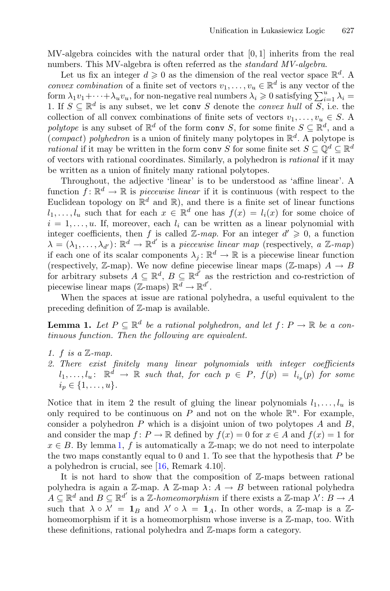MV-algebra coincides with the natural order that [0, 1] inherits from the real numbers. This MV-algebra is often referred as the *standard MV-algebra*.

Let us fix an integer  $d \geq 0$  as the dimension of the real vector space  $\mathbb{R}^d$ . A *convex combination* of a finite set of vectors  $v_1, \ldots, v_u \in \mathbb{R}^d$  is any vector of the form  $\lambda_1 v_1 + \cdots + \lambda_u v_u$ , for non-negative real numbers  $\lambda_i \geqslant 0$  satisfying  $\sum_{i=1}^u \lambda_i =$ 1. If  $S \subseteq \mathbb{R}^d$  is any subset, we let conv S denote the *convex hull* of S, i.e. the collection of all convex combinations of finite sets of vectors  $v_1, \ldots, v_u \in S$ . *polytope* is any subset of  $\mathbb{R}^d$  of the form conv S, for some finite  $S \subseteq \mathbb{R}^d$ , and a (*compact*) *polyhedron* is a union of finitely many polytopes in R*d*. A polytope is *rational* if it may be written in the form conv S for some finite set  $S \subset \mathbb{Q}^d \subset \mathbb{R}^d$ of vectors with rational coordinates. Similarly, a polyhedron is *rational* if it may be written as a union of finitely many rational polytopes.

Throughout, the adjective 'linear' is to be understood as 'affine linear'. A function  $f: \mathbb{R}^d \to \mathbb{R}$  is *piecewise linear* if it is continuous (with respect to the Euclidean topology on  $\mathbb{R}^d$  and  $\mathbb{R}$ ), and there is a finite set of linear functions  $l_1,\ldots,l_u$  such that for each  $x \in \mathbb{R}^d$  one has  $f(x) = l_i(x)$  for some choice of  $i = 1, \ldots, u$ . If, moreover, each  $l_i$  can be written as a linear polynomial with integer coefficients, then f is called  $\mathbb{Z}$ -map. For an integer  $d' \geq 0$ , a function  $\lambda = (\lambda_1, \ldots, \lambda_{d'}) : \mathbb{R}^d \to \mathbb{R}^{d'}$  is a *piecewise linear map* (respectively, *a* Z*-map*) if each one of its scalar components  $\lambda_i: \mathbb{R}^d \to \mathbb{R}$  is a piecewise linear function (respectively, Z-map). We now define piecewise linear maps (Z-maps)  $A \rightarrow B$ for arbitrary subsets  $A \subseteq \mathbb{R}^d$ ,  $B \subseteq \mathbb{R}^d$  as the restriction and co-restriction of piecewise linear maps (Z-maps)  $\mathbb{R}^d \to \mathbb{R}^{d'}.$ 

<span id="page-5-0"></span>When the spaces at issue are rational polyhedra, a useful equivalent to the preceding definition of Z-map is available.

**Lemma 1.** Let  $P \subseteq \mathbb{R}^d$  be a rational polyhedron, and let  $f: P \to \mathbb{R}$  be a con*tinuous function. Then the following are equivalent.*

- *1.* f *is a* Z*-map.*
- *2. There exist finitely many linear polynomials with integer coefficients*  $l_1, \ldots, l_u$  :  $\mathbb{R}^d$  →  $\mathbb{R}$  *such that, for each*  $p \in P$ *, f(p)* =  $l_{i_p}(p)$  *for some*  $i_p \in \{1, \ldots, u\}.$

Notice that in item 2 the result of gluing the linear polynomials  $l_1, \ldots, l_u$  is only required to be continuous on  $P$  and not on the whole  $\mathbb{R}^n$ . For example, consider a polyhedron  $P$  which is a disjoint union of two polytopes  $A$  and  $B$ , and consider the map  $f: P \to \mathbb{R}$  defined by  $f(x) = 0$  for  $x \in A$  and  $f(x) = 1$  for  $x \in B$ . By lemma [1,](#page-5-0) f is automatically a Z-map; we do not need to interpolate the two maps constantly equal to 0 and 1. To see that the hypothesis that  $P$  be a polyhedron is crucial, see [\[16,](#page-11-12) Remark 4.10].

It is not hard to show that the composition of  $\mathbb{Z}$ -maps between rational polyhedra is again a Z-map. A Z-map  $\lambda: A \to B$  between rational polyhedra  $A \subseteq \mathbb{R}^d$  and  $B \subseteq \mathbb{R}^{d'}$  is a Z-homeomorphism if there exists a Z-map  $\lambda' : B \to A$ such that  $\lambda \circ \lambda' = \mathbf{1}_B$  and  $\lambda' \circ \lambda = \mathbf{1}_A$ . In other words, a Z-map is a Zhomeomorphism if it is a homeomorphism whose inverse is a  $\mathbb{Z}$ -map, too. With these definitions, rational polyhedra and Z-maps form a category.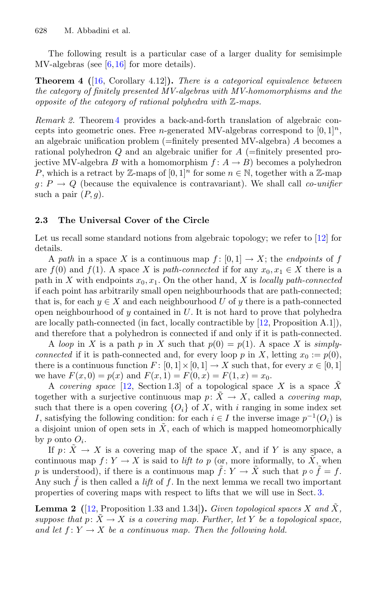<span id="page-6-1"></span>The following result is a particular case of a larger duality for semisimple MV-algebras (see [\[6,](#page-11-15)[16\]](#page-11-12) for more details).

**Theorem 4 (**[\[16,](#page-11-12) Corollary 4.12]**).** *There is a categorical equivalence between the category of finitely presented MV-algebras with MV-homomorphisms and the opposite of the category of rational polyhedra with* Z*-maps.*

*Remark 2.* Theorem [4](#page-6-1) provides a back-and-forth translation of algebraic concepts into geometric ones. Free *n*-generated MV-algebras correspond to  $[0, 1]^n$ , an algebraic unification problem (=finitely presented MV-algebra) A becomes a rational polyhedron Q and an algebraic unifier for A (=finitely presented projective MV-algebra B with a homomorphism  $f: A \rightarrow B$ ) becomes a polyhedron P, which is a retract by Z-maps of  $[0, 1]^n$  for some  $n \in \mathbb{N}$ , together with a Z-map  $q: P \to Q$  (because the equivalence is contravariant). We shall call *co-unifier* such a pair  $(P, g)$ .

#### <span id="page-6-0"></span>**2.3 The Universal Cover of the Circle**

Let us recall some standard notions from algebraic topology; we refer to [\[12](#page-11-16)] for details.

A *path* in a space X is a continuous map  $f : [0, 1] \rightarrow X$ ; the *endpoints* of f are  $f(0)$  and  $f(1)$ . A space X is *path-connected* if for any  $x_0, x_1 \in X$  there is a path in X with endpoints  $x_0, x_1$ . On the other hand, X is *locally path-connected* if each point has arbitrarily small open neighbourhoods that are path-connected; that is, for each  $y \in X$  and each neighbourhood U of y there is a path-connected open neighbourhood of y contained in  $U$ . It is not hard to prove that polyhedra are locally path-connected (in fact, locally contractible by [\[12](#page-11-16), Proposition A.1]), and therefore that a polyhedron is connected if and only if it is path-connected.

A *loop* in X is a path p in X such that  $p(0) = p(1)$ . A space X is *simplyconnected* if it is path-connected and, for every loop p in X, letting  $x_0 := p(0)$ , there is a continuous function  $F: [0, 1] \times [0, 1] \rightarrow X$  such that, for every  $x \in [0, 1]$ we have  $F(x, 0) = p(x)$  and  $F(x, 1) = F(0, x) = F(1, x) = x_0$ .

A *covering space* [\[12](#page-11-16), Section 1.3] of a topological space X is a space X together with a surjective continuous map  $p: \tilde{X} \to X$ , called a *covering map*, such that there is a open covering  $\{O_i\}$  of X, with i ranging in some index set I, satisfying the following condition: for each  $i \in I$  the inverse image  $p^{-1}(O_i)$  is a disjoint union of open sets in  $\tilde{X}$ , each of which is mapped homeomorphically by p onto  $O_i$ .

If  $p: X \to X$  is a covering map of the space X, and if Y is any space, a continuous map  $f: Y \to X$  is said to *lift to* p (or, more informally, to  $\tilde{X}$ , when p is understood), if there is a continuous map  $f: Y \to \overline{X}$  such that  $p \circ f = f$ . Any such  $f$  is then called a *lift* of  $f$ . In the next lemma we recall two important properties of covering maps with respect to lifts that we will use in Sect. [3.](#page-7-0)

<span id="page-6-2"></span>**Lemma 2** ([\[12,](#page-11-16) Proposition 1.33 and 1.34]). *Given topological spaces* X and X, *suppose that*  $p: X \to X$  *is a covering map. Further, let* Y *be a topological space,* and let  $f: Y \to X$  be a continuous map. Then the following hold.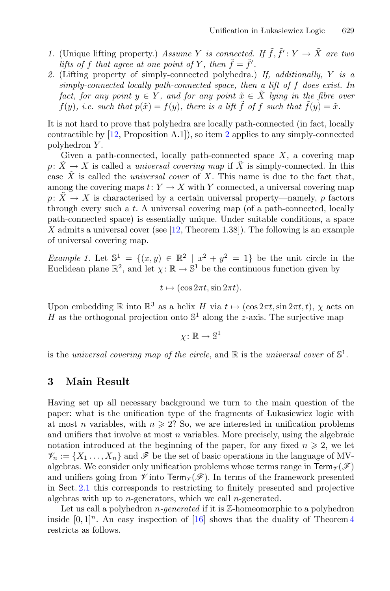- <span id="page-7-3"></span>*1.* (Unique lifting property.) *Assume Y is connected. If*  $\tilde{f}, \tilde{f}' : Y \to \tilde{X}$  *are two lifts of* f *that agree at one point of* Y, *then*  $\tilde{f} = \tilde{f}'$ .
- <span id="page-7-1"></span>*2.* (Lifting property of simply-connected polyhedra.) *If, additionally,* Y *is a simply-connected locally path-connected space, then a lift of* f *does exist. In fact, for any point*  $y \in Y$ *, and for any point*  $\tilde{x} \in X$  *lying in the fibre over*  $f(y)$ *, i.e. such that*  $p(\tilde{x}) = f(y)$ *, there is a lift*  $f$  *of*  $f$  *such that*  $f(y) = \tilde{x}$ *.*

It is not hard to prove that polyhedra are locally path-connected (in fact, locally contractible by [\[12,](#page-11-16) Proposition A.1]), so item [2](#page-7-1) applies to any simply-connected polyhedron Y.

Given a path-connected, locally path-connected space  $X$ , a covering map  $p: \tilde{X} \to X$  is called a *universal covering map* if  $\tilde{X}$  is simply-connected. In this case  $\tilde{X}$  is called the *universal cover* of X. This name is due to the fact that, among the covering maps  $t: Y \to X$  with Y connected, a universal covering map  $p: X \to X$  is characterised by a certain universal property—namely, p factors through every such a t. A universal covering map (of a path-connected, locally path-connected space) is essentially unique. Under suitable conditions, a space X admits a universal cover (see  $[12,$  $[12,$  Theorem 1.38]). The following is an example of universal covering map.

<span id="page-7-2"></span>*Example 1.* Let  $\mathbb{S}^1 = \{(x, y) \in \mathbb{R}^2 \mid x^2 + y^2 = 1\}$  be the unit circle in the Euclidean plane  $\mathbb{R}^2$ , and let  $\chi: \mathbb{R} \to \mathbb{S}^1$  be the continuous function given by

$$
t \mapsto (\cos 2\pi t, \sin 2\pi t).
$$

Upon embedding R into  $\mathbb{R}^3$  as a helix H via  $t \mapsto (\cos 2\pi t, \sin 2\pi t, t)$ ,  $\chi$  acts on H as the orthogonal projection onto  $\mathbb{S}^1$  along the z-axis. The surjective map

 $\chi: \mathbb{R} \to \mathbb{S}^1$ 

is the *universal covering map of the circle*, and  $\mathbb{R}$  is the *universal cover* of  $\mathbb{S}^1$ .

## <span id="page-7-0"></span>**3 Main Result**

Having set up all necessary background we turn to the main question of the paper: what is the unification type of the fragments of Lukasiewicz logic with at most *n* variables, with  $n \geq 2$ ? So, we are interested in unification problems and unifiers that involve at most  $n$  variables. More precisely, using the algebraic notation introduced at the beginning of the paper, for any fixed  $n \geq 2$ , we let  $\mathscr{V}_n := \{X_1, \ldots, X_n\}$  and  $\mathscr{F}$  be the set of basic operations in the language of MValgebras. We consider only unification problems whose terms range in  $\mathsf{Term}_{\mathscr{V}}(\mathscr{F})$ and unifiers going from  $\mathscr V$  into  $\mathsf{Term}_{\mathscr V}(\mathscr F)$ . In terms of the framework presented in Sect. [2.1](#page-3-1) this corresponds to restricting to finitely presented and projective algebras with up to *n*-generators, which we call *n*-generated.

<span id="page-7-4"></span>Let us call a polyhedron *n-generated* if it is Z-homeomorphic to a polyhedron inside  $[0, 1]^n$ . An easy inspection of [\[16](#page-11-12)] shows that the duality of Theorem [4](#page-6-1) restricts as follows.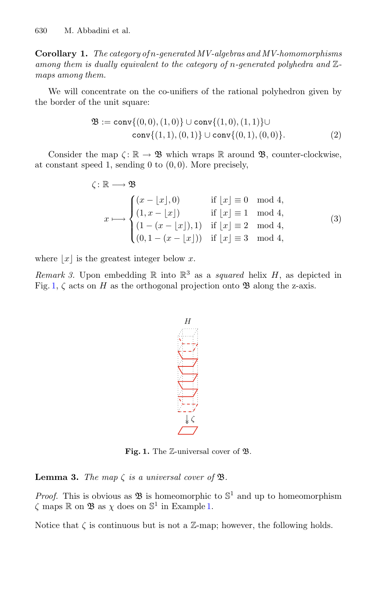**Corollary 1.** *The category of* n*-generated MV-algebras and MV-homomorphisms among them is dually equivalent to the category of* n*-generated polyhedra and* Z*maps among them.*

We will concentrate on the co-unifiers of the rational polyhedron given by the border of the unit square:

$$
\mathfrak{B} := \text{conv}\{(0,0), (1,0)\} \cup \text{conv}\{(1,0), (1,1)\} \cup \text{conv}\{(1,1), (0,1)\} \cup \text{conv}\{(0,1), (0,0)\}. \tag{2}
$$

Consider the map  $\zeta: \mathbb{R} \to \mathfrak{B}$  which wraps  $\mathbb R$  around  $\mathfrak{B}$ , counter-clockwise, at constant speed 1, sending 0 to  $(0,0)$ . More precisely,

$$
\zeta: \mathbb{R} \longrightarrow \mathfrak{B}
$$
\n
$$
x \longmapsto \begin{cases}\n(x - \lfloor x \rfloor, 0) & \text{if } \lfloor x \rfloor \equiv 0 \mod 4, \\
(1, x - \lfloor x \rfloor) & \text{if } \lfloor x \rfloor \equiv 1 \mod 4, \\
(1 - (x - \lfloor x \rfloor), 1) & \text{if } \lfloor x \rfloor \equiv 2 \mod 4, \\
(0, 1 - (x - \lfloor x \rfloor)) & \text{if } \lfloor x \rfloor \equiv 3 \mod 4,\n\end{cases}
$$
\n(3)

where  $|x|$  is the greatest integer below x.

*Remark 3.* Upon embedding  $\mathbb R$  into  $\mathbb R^3$  as a *squared* helix H, as depicted in Fig. [1,](#page-8-0)  $\zeta$  acts on H as the orthogonal projection onto  $\mathfrak{B}$  along the z-axis.

<span id="page-8-1"></span>

<span id="page-8-2"></span><span id="page-8-0"></span>**Fig. 1.** The Z-universal cover of B.

**Lemma 3.** *The map*  $\zeta$  *is a universal cover of*  $\mathfrak{B}$ *.* 

*Proof.* This is obvious as  $\mathfrak{B}$  is homeomorphic to  $\mathbb{S}^1$  and up to homeomorphism  $\zeta$  maps  $\mathbb R$  on  $\mathfrak{B}$  as  $\chi$  does on  $\mathbb S^1$  in Example [1.](#page-7-2)

Notice that  $\zeta$  is continuous but is not a Z-map; however, the following holds.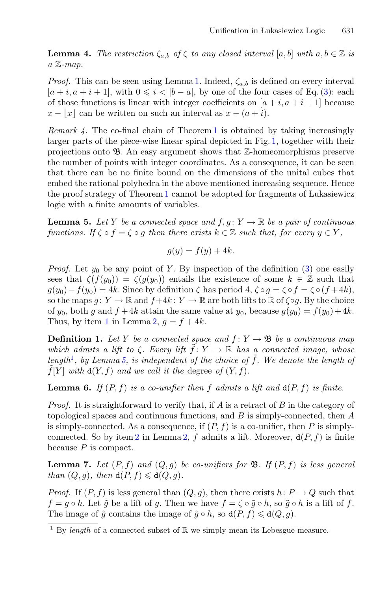**Lemma 4.** *The restriction*  $\zeta_{a,b}$  *of*  $\zeta$  *to any closed interval* [a, b] *with*  $a, b \in \mathbb{Z}$  *is a* Z*-map.*

*Proof.* This can be seen using Lemma [1.](#page-5-0) Indeed,  $\zeta_{a,b}$  is defined on every interval  $[a + i, a + i + 1]$ , with  $0 \le i \le |b - a|$ , by one of the four cases of Eq. [\(3\)](#page-8-1); each of those functions is linear with integer coefficients on  $[a + i, a + i + 1]$  because  $x - |x|$  can be written on such an interval as  $x - (a + i)$ .

<span id="page-9-0"></span>*Remark 4.* The co-final chain of Theorem [1](#page-1-0) is obtained by taking increasingly larger parts of the piece-wise linear spiral depicted in Fig. [1,](#page-8-0) together with their projections onto B. An easy argument shows that Z-homeomorphisms preserve the number of points with integer coordinates. As a consequence, it can be seen that there can be no finite bound on the dimensions of the unital cubes that embed the rational polyhedra in the above mentioned increasing sequence. Hence the proof strategy of Theorem  $1$  cannot be adopted for fragments of Lukasiewicz logic with a finite amounts of variables.

<span id="page-9-2"></span>**Lemma 5.** Let Y be a connected space and  $f, g: Y \to \mathbb{R}$  be a pair of continuous *functions. If*  $\zeta \circ f = \zeta \circ g$  *then there exists*  $k \in \mathbb{Z}$  *such that, for every*  $y \in Y$ *,* 

$$
g(y) = f(y) + 4k.
$$

*Proof.* Let  $y_0$  be any point of Y. By inspection of the definition [\(3\)](#page-8-1) one easily sees that  $\zeta(f(y_0)) = \zeta(g(y_0))$  entails the existence of some  $k \in \mathbb{Z}$  such that  $g(y_0)-f(y_0)=4k$ . Since by definition  $\zeta$  has period 4,  $\zeta \circ q = \zeta \circ f = \zeta \circ (f+4k)$ , so the maps  $g: Y \to \mathbb{R}$  and  $f+4k: Y \to \mathbb{R}$  are both lifts to  $\mathbb{R}$  of  $\zeta \circ g$ . By the choice of  $y_0$ , both g and  $f + 4k$  attain the same value at  $y_0$ , because  $g(y_0) = f(y_0) + 4k$ . Thus, by item [1](#page-7-3) in Lemma [2,](#page-6-2)  $q = f + 4k$ .

<span id="page-9-3"></span>**Definition 1.** Let Y be a connected space and  $f: Y \to \mathcal{B}$  be a continuous map *which admits a lift to*  $\zeta$ *. Every lift*  $f: Y \to \mathbb{R}$  *has a connected image, whose length*<sup>[1](#page-9-1)</sup>, *by Lemma 5*, *is independent of the choice of f*. We denote the length of  $\tilde{f}[Y]$  *with* **d**(Y, *f*) *and we call it the* degree *of* (Y, *f*).

<span id="page-9-5"></span>**Lemma 6.** *If*  $(P, f)$  *is a co-unifier then*  $f$  *admits a lift and*  $d(P, f)$  *is finite.* 

*Proof.* It is straightforward to verify that, if A is a retract of B in the category of topological spaces and continuous functions, and  $B$  is simply-connected, then  $A$ is simply-connected. As a consequence, if  $(P, f)$  is a co-unifier, then P is simply-connected. So by item [2](#page-7-1) in Lemma [2,](#page-6-2) f admits a lift. Moreover,  $d(P, f)$  is finite because  $P$  is compact.

<span id="page-9-4"></span>**Lemma 7.** Let  $(P, f)$  and  $(Q, g)$  be co-unifiers for  $\mathfrak{B}$ . If  $(P, f)$  is less general *than*  $(Q, g)$ *, then*  $d(P, f) \le d(Q, g)$ *.* 

*Proof.* If  $(P, f)$  is less general than  $(Q, g)$ , then there exists  $h: P \to Q$  such that  $f = g \circ h$ . Let  $\tilde{g}$  be a lift of g. Then we have  $f = \zeta \circ \tilde{g} \circ h$ , so  $\tilde{g} \circ h$  is a lift of f. The image of  $\tilde{g}$  contains the image of  $\tilde{g} \circ h$ , so  $d(P, f) \le d(Q, g)$ .

<span id="page-9-1"></span> $^1$  By  $\mathit{length}$  of a connected subset of  $\mathbb R$  we simply mean its Lebesgue measure.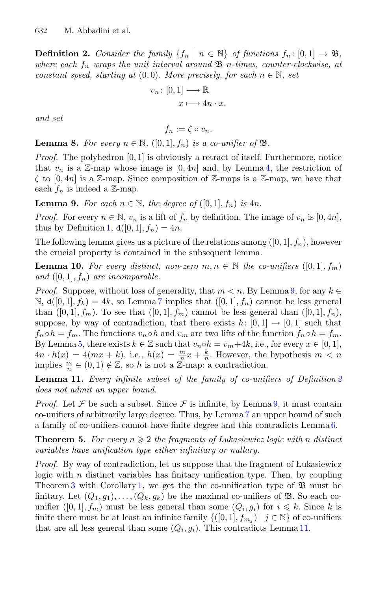<span id="page-10-2"></span>**Definition 2.** *Consider the family*  $\{f_n \mid n \in \mathbb{N}\}\$  *of functions*  $f_n: [0,1] \to \mathfrak{B}$ *, where each*  $f_n$  *wraps the unit interval around*  $\mathfrak{B}$  *n*-times, counter-clockwise, at *constant speed, starting at*  $(0,0)$ *. More precisely, for each*  $n \in \mathbb{N}$ *, set* 

$$
v_n \colon [0,1] \longrightarrow \mathbb{R}
$$

$$
x \longmapsto 4n \cdot x.
$$

*and set*

$$
f_n := \zeta \circ v_n.
$$

**Lemma 8.** For every  $n \in \mathbb{N}$ ,  $([0, 1], f_n)$  is a co-unifier of  $\mathfrak{B}$ .

*Proof.* The polyhedron [0, 1] is obviously a retract of itself. Furthermore, notice that  $v_n$  is a Z-map whose image is  $[0, 4n]$  and, by Lemma [4,](#page-8-2) the restriction of  $\zeta$  to  $[0, 4n]$  is a Z-map. Since composition of Z-maps is a Z-map, we have that each  $f_n$  is indeed a  $\mathbb{Z}$ -map.

<span id="page-10-1"></span>**Lemma 9.** For each  $n \in \mathbb{N}$ , the degree of  $([0, 1], f_n)$  is  $4n$ .

*Proof.* For every  $n \in \mathbb{N}$ ,  $v_n$  is a lift of  $f_n$  by definition. The image of  $v_n$  is  $[0, 4n]$ , thus by Definition [1,](#page-9-3)  $d([0, 1], f_n) = 4n$ .

The following lemma gives us a picture of the relations among  $([0, 1], f_n)$ , however the crucial property is contained in the subsequent lemma.

**Lemma 10.** For every distinct, non-zero  $m, n \in \mathbb{N}$  the co-unifiers  $([0, 1], f_m)$ and  $([0, 1], f_n)$  *are incomparable.* 

*Proof.* Suppose, without loss of generality, that  $m < n$ . By Lemma [9,](#page-10-1) for any  $k \in$ N,  $d([0,1], f_k) = 4k$ , so Lemma [7](#page-9-4) implies that  $([0,1], f_n)$  cannot be less general than  $([0,1], f_m)$ . To see that  $([0,1], f_m)$  cannot be less general than  $([0,1], f_n)$ , suppose, by way of contradiction, that there exists  $h: [0,1] \rightarrow [0,1]$  such that  $f_n \circ h = f_m$ . The functions  $v_n \circ h$  and  $v_m$  are two lifts of the function  $f_n \circ h = f_m$ . By Lemma [5,](#page-9-2) there exists  $k \in \mathbb{Z}$  such that  $v_n \circ h = v_m + 4k$ , i.e., for every  $x \in [0, 1]$ ,  $4n \cdot h(x) = 4(mx+k)$ , i.e.,  $h(x) = \frac{m}{n}x + \frac{k}{n}$ . However, the hypothesis  $m < n$ implies  $\frac{m}{n} \in (0,1) \notin \mathbb{Z}$ , so h is not a  $\mathbb{Z}$ -map: a contradiction.

<span id="page-10-3"></span>**Lemma 11.** *Every infinite subset of the family of co-unifiers of Definition [2](#page-10-2) does not admit an upper bound.*

*Proof.* Let F be such a subset. Since F is infinite, by Lemma [9,](#page-10-1) it must contain co-unifiers of arbitrarily large degree. Thus, by Lemma [7](#page-9-4) an upper bound of such a family of co-unifiers cannot have finite degree and this contradicts Lemma [6.](#page-9-5)

<span id="page-10-0"></span>**Theorem 5.** For every  $n \geq 2$  the fragments of Lukasiewicz logic with n distinct *variables have unification type either infinitary or nullary.*

*Proof.* By way of contradiction, let us suppose that the fragment of Lukasiewicz logic with  $n$  distinct variables has finitary unification type. Then, by coupling Theorem [3](#page-4-2) with Corollary [1,](#page-7-4) we get the the co-unification type of  $\mathfrak{B}$  must be finitary. Let  $(Q_1, g_1), \ldots, (Q_k, g_k)$  be the maximal co-unifiers of  $\mathfrak{B}$ . So each counifier  $([0, 1], f_m)$  must be less general than some  $(Q_i, g_i)$  for  $i \leq k$ . Since k is finite there must be at least an infinite family  $\{([0,1], f_{m_j}) \mid j \in \mathbb{N}\}\)$  of co-unifiers that are all less general than some  $(Q_i, g_i)$ . This contradicts Lemma [11.](#page-10-3)